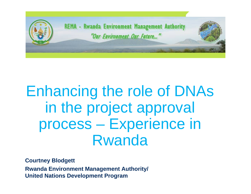

# Enhancing the role of DNAs in the project approval process – Experience in Rwanda

**Courtney Blodgett Rwanda Environment Management Authority/ United Nations Development Program**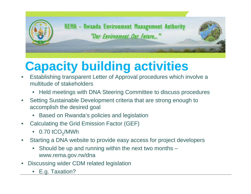

# **Capacity building activities**

- Establishing transparent Letter of Approval procedures which involve a multitude of stakeholders
	- Held meetings with DNA Steering Committee to discuss procedures
- Setting Sustainable Development criteria that are strong enough to accomplish the desired goal
	- Based on Rwanda's policies and legislation
- Calculating the Grid Emission Factor (GEF)
	- $\bullet$  0.70 tCO<sub>2</sub>/MWh
- Starting a DNA website to provide easy access for project developers
	- Should be up and running within the next two months www.rema.gov.rw/dna
- Discussing wider CDM related legislation
	- E.g. Taxation?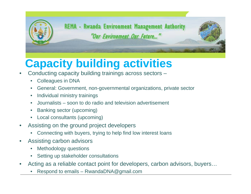

# **Capacity building activities**

- Conducting capacity building trainings across sectors
	- Colleagues in DNA
	- General: Government, non-governmental organizations, private sector
	- Individual ministry trainings
	- Journalists soon to do radio and television advertisement
	- Banking sector (upcoming)
	- Local consultants (upcoming)
- Assisting on the ground project developers
	- Connecting with buyers, trying to help find low interest loans
- Assisting carbon advisors
	- Methodology questions
	- Setting up stakeholder consultations
- Acting as a reliable contact point for developers, carbon advisors, buyers…
	- Respond to emails RwandaDNA@gmail.com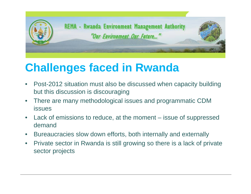

## **Challenges faced in Rwanda**

- Post-2012 situation must also be discussed when capacity building but this discussion is discouraging
- There are many methodological issues and programmatic CDM issues
- Lack of emissions to reduce, at the moment issue of suppressed demand
- Bureaucracies slow down efforts, both internally and externally
- Private sector in Rwanda is still growing so there is a lack of private sector projects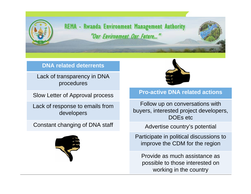

**REMA - Rwanda Environment Management Authority** "Our Environment Our Future..."

#### **DNA related deterrents**

Lack of transparency in DNA procedures

Slow Letter of Approval process

Lack of response to emails from developers

Constant changing of DNA staff





#### **Pro-active DNA related actions**

Follow up on conversations with buyers, interested project developers, DOEs etc

Advertise country's potential

Participate in political discussions to improve the CDM for the region

Provide as much assistance as possible to those interested on working in the country